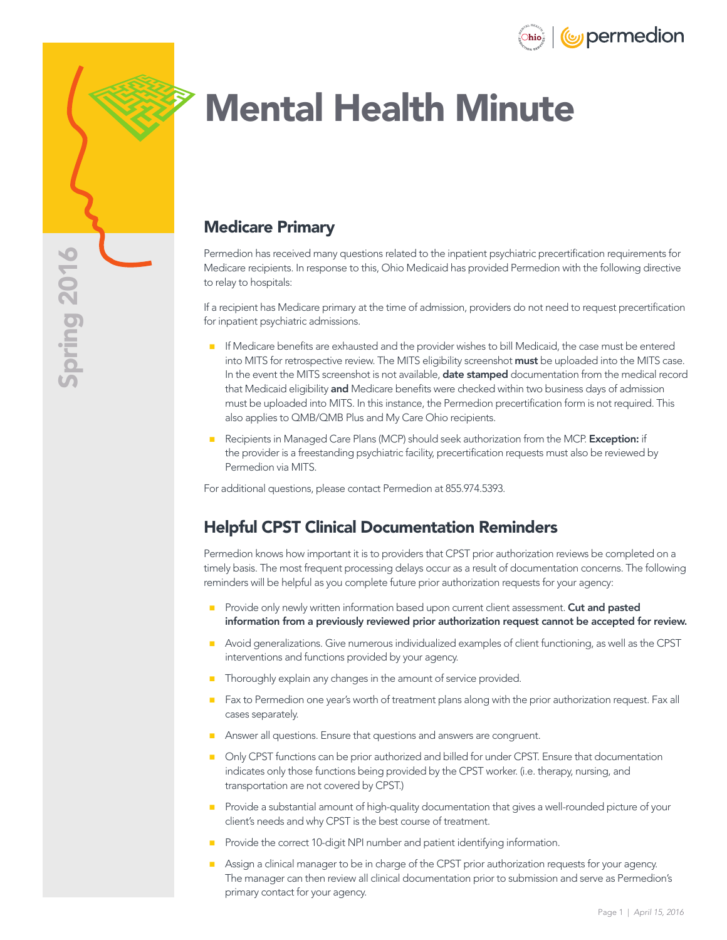



# Mental Health Minute

### Medicare Primary

Permedion has received many questions related to the inpatient psychiatric precertification requirements for Medicare recipients. In response to this, Ohio Medicaid has provided Permedion with the following directive to relay to hospitals:

If a recipient has Medicare primary at the time of admission, providers do not need to request precertification for inpatient psychiatric admissions.

- **If Medicare benefits are exhausted and the provider wishes to bill Medicaid, the case must be entered** into MITS for retrospective review. The MITS eligibility screenshot must be uploaded into the MITS case. In the event the MITS screenshot is not available, **date stamped** documentation from the medical record that Medicaid eligibility and Medicare benefits were checked within two business days of admission must be uploaded into MITS. In this instance, the Permedion precertification form is not required. This also applies to QMB/QMB Plus and My Care Ohio recipients.
- Recipients in Managed Care Plans (MCP) should seek authorization from the MCP. Exception: if the provider is a freestanding psychiatric facility, precertification requests must also be reviewed by Permedion via MITS.

For additional questions, please contact Permedion at 855.974.5393.

### Helpful CPST Clinical Documentation Reminders

Permedion knows how important it is to providers that CPST prior authorization reviews be completed on a timely basis. The most frequent processing delays occur as a result of documentation concerns. The following reminders will be helpful as you complete future prior authorization requests for your agency:

- Provide only newly written information based upon current client assessment. Cut and pasted information from a previously reviewed prior authorization request cannot be accepted for review.
- **Avoid generalizations. Give numerous individualized examples of client functioning, as well as the CPST** interventions and functions provided by your agency.
- Thoroughly explain any changes in the amount of service provided.
- Fax to Permedion one year's worth of treatment plans along with the prior authorization request. Fax all cases separately.
- Answer all questions. Ensure that questions and answers are congruent.
- **Only CPST** functions can be prior authorized and billed for under CPST. Ensure that documentation indicates only those functions being provided by the CPST worker. (i.e. therapy, nursing, and transportation are not covered by CPST.)
- **Provide a substantial amount of high-quality documentation that gives a well-rounded picture of your** client's needs and why CPST is the best course of treatment.
- Provide the correct 10-digit NPI number and patient identifying information.
- Assign a clinical manager to be in charge of the CPST prior authorization requests for your agency. The manager can then review all clinical documentation prior to submission and serve as Permedion's primary contact for your agency.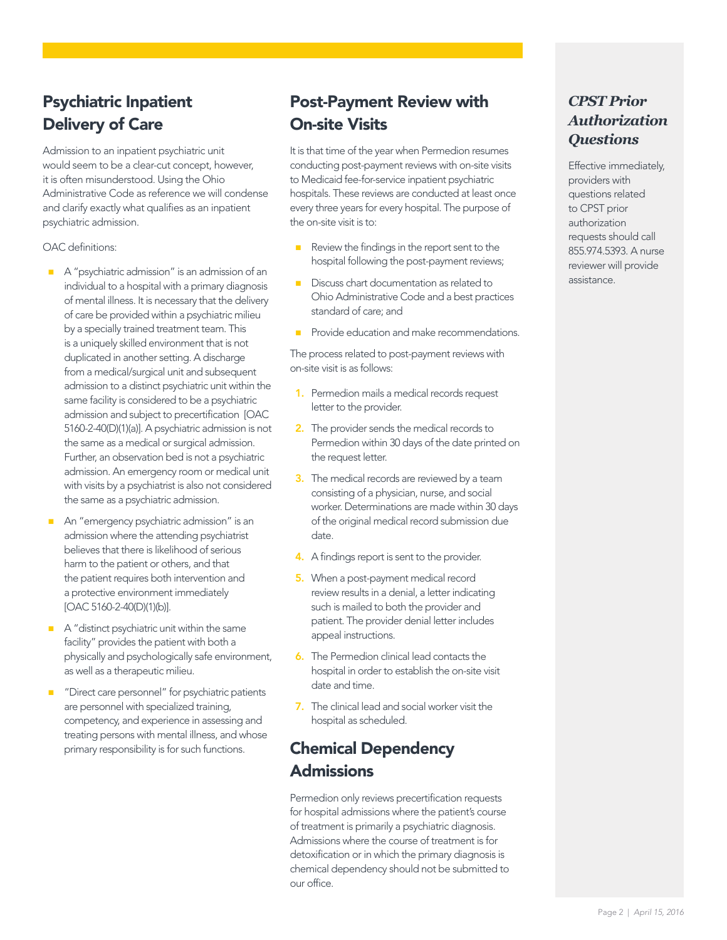# Psychiatric Inpatient Delivery of Care

Admission to an inpatient psychiatric unit would seem to be a clear-cut concept, however, it is often misunderstood. Using the Ohio Administrative Code as reference we will condense and clarify exactly what qualifies as an inpatient psychiatric admission.

OAC definitions:

- A "psychiatric admission" is an admission of an individual to a hospital with a primary diagnosis of mental illness. It is necessary that the delivery of care be provided within a psychiatric milieu by a specially trained treatment team. This is a uniquely skilled environment that is not duplicated in another setting. A discharge from a medical/surgical unit and subsequent admission to a distinct psychiatric unit within the same facility is considered to be a psychiatric admission and subject to precertification [OAC 5160-2-40(D)(1)(a)]. A psychiatric admission is not the same as a medical or surgical admission. Further, an observation bed is not a psychiatric admission. An emergency room or medical unit with visits by a psychiatrist is also not considered the same as a psychiatric admission.
- An "emergency psychiatric admission" is an admission where the attending psychiatrist believes that there is likelihood of serious harm to the patient or others, and that the patient requires both intervention and a protective environment immediately [OAC 5160-2-40(D)(1)(b)].
- A "distinct psychiatric unit within the same facility" provides the patient with both a physically and psychologically safe environment, as well as a therapeutic milieu.
- "Direct care personnel" for psychiatric patients are personnel with specialized training, competency, and experience in assessing and treating persons with mental illness, and whose primary responsibility is for such functions.

## Post-Payment Review with On-site Visits

It is that time of the year when Permedion resumes conducting post-payment reviews with on-site visits to Medicaid fee-for-service inpatient psychiatric hospitals. These reviews are conducted at least once every three years for every hospital. The purpose of the on-site visit is to:

- Review the findings in the report sent to the hospital following the post-payment reviews;
- Discuss chart documentation as related to Ohio Administrative Code and a best practices standard of care; and
- **Provide education and make recommendations.**

The process related to post-payment reviews with on-site visit is as follows:

- 1. Permedion mails a medical records request letter to the provider.
- 2. The provider sends the medical records to Permedion within 30 days of the date printed on the request letter.
- **3.** The medical records are reviewed by a team consisting of a physician, nurse, and social worker. Determinations are made within 30 days of the original medical record submission due date.
- 4. A findings report is sent to the provider.
- 5. When a post-payment medical record review results in a denial, a letter indicating such is mailed to both the provider and patient. The provider denial letter includes appeal instructions.
- **6.** The Permedion clinical lead contacts the hospital in order to establish the on-site visit date and time.
- 7. The clinical lead and social worker visit the hospital as scheduled.

# Chemical Dependency **Admissions**

Permedion only reviews precertification requests for hospital admissions where the patient's course of treatment is primarily a psychiatric diagnosis. Admissions where the course of treatment is for detoxification or in which the primary diagnosis is chemical dependency should not be submitted to our office.

#### *CPST Prior Authorization Questions*

Effective immediately, providers with questions related to CPST prior authorization requests should call 855.974.5393. A nurse reviewer will provide assistance.